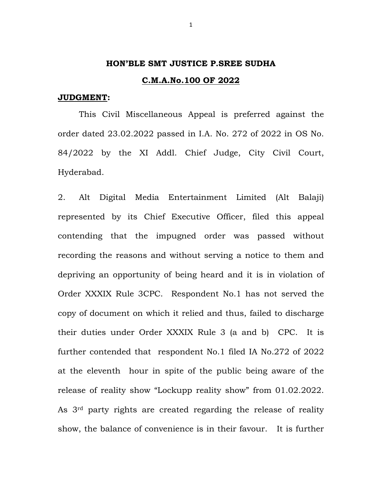## **HON'BLE SMT JUSTICE P.SREE SUDHA**

## **C.M.A.No.100 OF 2022**

## **JUDGMENT:**

 This Civil Miscellaneous Appeal is preferred against the order dated 23.02.2022 passed in I.A. No. 272 of 2022 in OS No. 84/2022 by the XI Addl. Chief Judge, City Civil Court, Hyderabad.

2. Alt Digital Media Entertainment Limited (Alt Balaji) represented by its Chief Executive Officer, filed this appeal contending that the impugned order was passed without recording the reasons and without serving a notice to them and depriving an opportunity of being heard and it is in violation of Order XXXIX Rule 3CPC. Respondent No.1 has not served the copy of document on which it relied and thus, failed to discharge their duties under Order XXXIX Rule 3 (a and b) CPC. It is further contended that respondent No.1 filed IA No.272 of 2022 at the eleventh hour in spite of the public being aware of the release of reality show "Lockupp reality show" from 01.02.2022. As 3rd party rights are created regarding the release of reality show, the balance of convenience is in their favour. It is further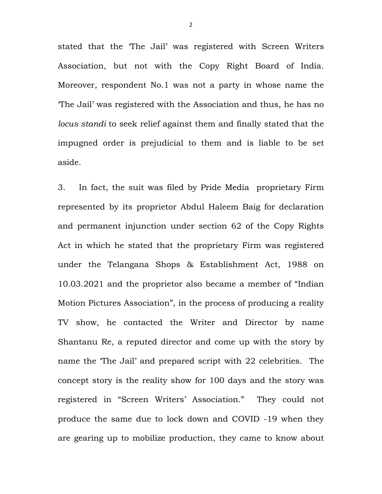stated that the 'The Jail' was registered with Screen Writers Association, but not with the Copy Right Board of India. Moreover, respondent No.1 was not a party in whose name the 'The Jail' was registered with the Association and thus, he has no *locus standi* to seek relief against them and finally stated that the impugned order is prejudicial to them and is liable to be set aside.

3. In fact, the suit was filed by Pride Media proprietary Firm represented by its proprietor Abdul Haleem Baig for declaration and permanent injunction under section 62 of the Copy Rights Act in which he stated that the proprietary Firm was registered under the Telangana Shops & Establishment Act, 1988 on 10.03.2021 and the proprietor also became a member of "Indian Motion Pictures Association", in the process of producing a reality TV show, he contacted the Writer and Director by name Shantanu Re, a reputed director and come up with the story by name the 'The Jail' and prepared script with 22 celebrities. The concept story is the reality show for 100 days and the story was registered in "Screen Writers' Association." They could not produce the same due to lock down and COVID -19 when they are gearing up to mobilize production, they came to know about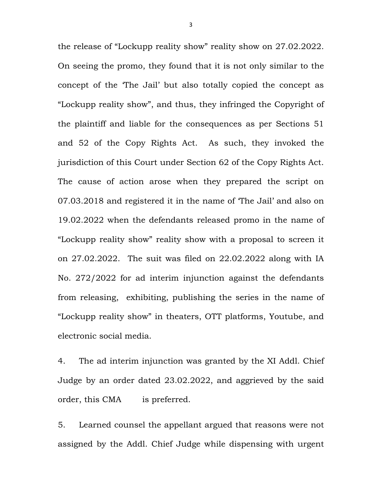the release of "Lockupp reality show" reality show on 27.02.2022. On seeing the promo, they found that it is not only similar to the concept of the 'The Jail' but also totally copied the concept as "Lockupp reality show", and thus, they infringed the Copyright of the plaintiff and liable for the consequences as per Sections 51 and 52 of the Copy Rights Act. As such, they invoked the jurisdiction of this Court under Section 62 of the Copy Rights Act. The cause of action arose when they prepared the script on 07.03.2018 and registered it in the name of 'The Jail' and also on 19.02.2022 when the defendants released promo in the name of "Lockupp reality show" reality show with a proposal to screen it on 27.02.2022. The suit was filed on 22.02.2022 along with IA No. 272/2022 for ad interim injunction against the defendants from releasing, exhibiting, publishing the series in the name of "Lockupp reality show" in theaters, OTT platforms, Youtube, and electronic social media.

4. The ad interim injunction was granted by the XI Addl. Chief Judge by an order dated 23.02.2022, and aggrieved by the said order, this CMA is preferred.

5. Learned counsel the appellant argued that reasons were not assigned by the Addl. Chief Judge while dispensing with urgent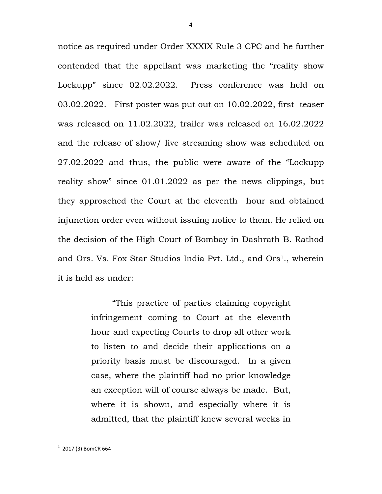notice as required under Order XXXIX Rule 3 CPC and he further contended that the appellant was marketing the "reality show Lockupp" since 02.02.2022. Press conference was held on 03.02.2022. First poster was put out on 10.02.2022, first teaser was released on 11.02.2022, trailer was released on 16.02.2022 and the release of show/ live streaming show was scheduled on 27.02.2022 and thus, the public were aware of the "Lockupp reality show" since 01.01.2022 as per the news clippings, but they approached the Court at the eleventh hour and obtained injunction order even without issuing notice to them. He relied on the decision of the High Court of Bombay in Dashrath B. Rathod and Ors. Vs. Fox Star Studios India Pvt. Ltd., and Ors<sup>1</sup>., wherein it is held as under:

> "This practice of parties claiming copyright infringement coming to Court at the eleventh hour and expecting Courts to drop all other work to listen to and decide their applications on a priority basis must be discouraged. In a given case, where the plaintiff had no prior knowledge an exception will of course always be made. But, where it is shown, and especially where it is admitted, that the plaintiff knew several weeks in

 $1$  2017 (3) BomCR 664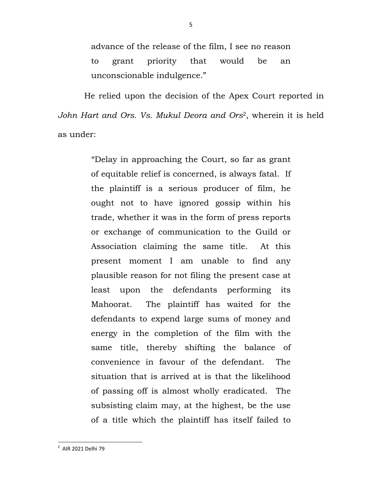advance of the release of the film, I see no reason to grant priority that would be an unconscionable indulgence."

 He relied upon the decision of the Apex Court reported in *John Hart and Ors. Vs. Mukul Deora and Ors*2, wherein it is held as under:

> "Delay in approaching the Court, so far as grant of equitable relief is concerned, is always fatal. If the plaintiff is a serious producer of film, he ought not to have ignored gossip within his trade, whether it was in the form of press reports or exchange of communication to the Guild or Association claiming the same title. At this present moment I am unable to find any plausible reason for not filing the present case at least upon the defendants performing its Mahoorat. The plaintiff has waited for the defendants to expend large sums of money and energy in the completion of the film with the same title, thereby shifting the balance of convenience in favour of the defendant. The situation that is arrived at is that the likelihood of passing off is almost wholly eradicated. The subsisting claim may, at the highest, be the use of a title which the plaintiff has itself failed to

<sup>&</sup>lt;sup>2</sup> AIR 2021 Delhi 79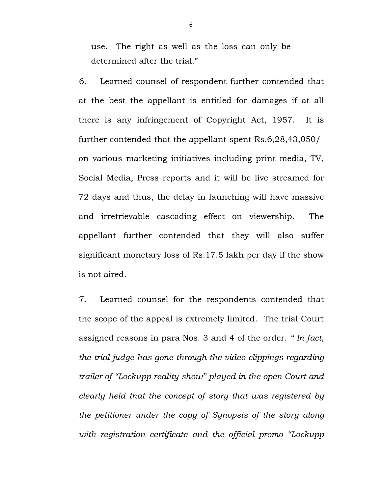use. The right as well as the loss can only be determined after the trial."

6. Learned counsel of respondent further contended that at the best the appellant is entitled for damages if at all there is any infringement of Copyright Act, 1957. It is further contended that the appellant spent Rs.6,28,43,050/ on various marketing initiatives including print media, TV, Social Media, Press reports and it will be live streamed for 72 days and thus, the delay in launching will have massive and irretrievable cascading effect on viewership. The appellant further contended that they will also suffer significant monetary loss of Rs.17.5 lakh per day if the show is not aired.

7. Learned counsel for the respondents contended that the scope of the appeal is extremely limited. The trial Court assigned reasons in para Nos. 3 and 4 of the order. *" In fact, the trial judge has gone through the video clippings regarding trailer of "Lockupp reality show" played in the open Court and clearly held that the concept of story that was registered by the petitioner under the copy of Synopsis of the story along with registration certificate and the official promo "Lockupp*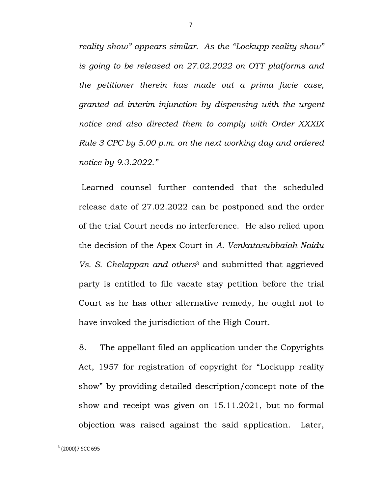*reality show" appears similar. As the "Lockupp reality show" is going to be released on 27.02.2022 on OTT platforms and the petitioner therein has made out a prima facie case, granted ad interim injunction by dispensing with the urgent notice and also directed them to comply with Order XXXIX Rule 3 CPC by 5.00 p.m. on the next working day and ordered notice by 9.3.2022."* 

 Learned counsel further contended that the scheduled release date of 27.02.2022 can be postponed and the order of the trial Court needs no interference. He also relied upon the decision of the Apex Court in *A. Venkatasubbaiah Naidu Vs. S. Chelappan and others*3 and submitted that aggrieved party is entitled to file vacate stay petition before the trial Court as he has other alternative remedy, he ought not to have invoked the jurisdiction of the High Court.

8. The appellant filed an application under the Copyrights Act, 1957 for registration of copyright for "Lockupp reality show" by providing detailed description/concept note of the show and receipt was given on 15.11.2021, but no formal objection was raised against the said application. Later,

 $3$  (2000)7 SCC 695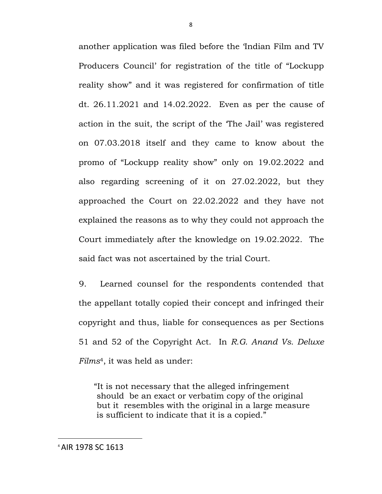another application was filed before the 'Indian Film and TV Producers Council' for registration of the title of "Lockupp reality show" and it was registered for confirmation of title dt. 26.11.2021 and 14.02.2022. Even as per the cause of action in the suit, the script of the 'The Jail' was registered on 07.03.2018 itself and they came to know about the promo of "Lockupp reality show" only on 19.02.2022 and also regarding screening of it on 27.02.2022, but they approached the Court on 22.02.2022 and they have not explained the reasons as to why they could not approach the Court immediately after the knowledge on 19.02.2022. The said fact was not ascertained by the trial Court.

9. Learned counsel for the respondents contended that the appellant totally copied their concept and infringed their copyright and thus, liable for consequences as per Sections 51 and 52 of the Copyright Act. In *R.G. Anand Vs. Deluxe Films*4, it was held as under:

 "It is not necessary that the alleged infringement should be an exact or verbatim copy of the original but it resembles with the original in a large measure is sufficient to indicate that it is a copied."

8

<sup>4</sup> AIR 1978 SC 1613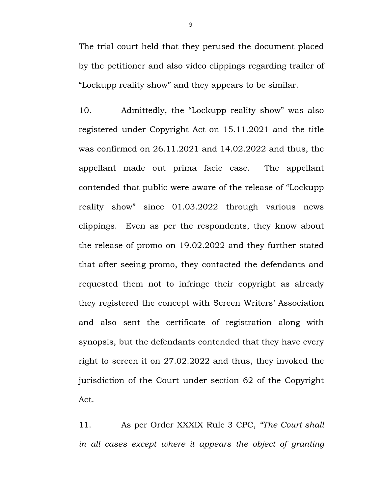The trial court held that they perused the document placed by the petitioner and also video clippings regarding trailer of "Lockupp reality show" and they appears to be similar.

10. Admittedly, the "Lockupp reality show" was also registered under Copyright Act on 15.11.2021 and the title was confirmed on 26.11.2021 and 14.02.2022 and thus, the appellant made out prima facie case. The appellant contended that public were aware of the release of "Lockupp reality show" since 01.03.2022 through various news clippings. Even as per the respondents, they know about the release of promo on 19.02.2022 and they further stated that after seeing promo, they contacted the defendants and requested them not to infringe their copyright as already they registered the concept with Screen Writers' Association and also sent the certificate of registration along with synopsis, but the defendants contended that they have every right to screen it on 27.02.2022 and thus, they invoked the jurisdiction of the Court under section 62 of the Copyright Act.

11. As per Order XXXIX Rule 3 CPC, *"The Court shall in all cases except where it appears the object of granting*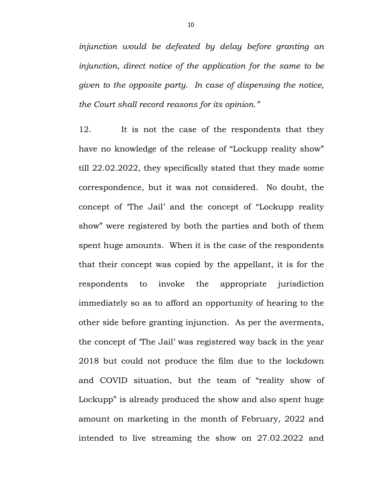*injunction would be defeated by delay before granting an injunction, direct notice of the application for the same to be given to the opposite party. In case of dispensing the notice, the Court shall record reasons for its opinion."* 

12. It is not the case of the respondents that they have no knowledge of the release of "Lockupp reality show" till 22.02.2022, they specifically stated that they made some correspondence, but it was not considered. No doubt, the concept of 'The Jail' and the concept of "Lockupp reality show" were registered by both the parties and both of them spent huge amounts. When it is the case of the respondents that their concept was copied by the appellant, it is for the respondents to invoke the appropriate jurisdiction immediately so as to afford an opportunity of hearing to the other side before granting injunction. As per the averments, the concept of 'The Jail' was registered way back in the year 2018 but could not produce the film due to the lockdown and COVID situation, but the team of "reality show of Lockupp" is already produced the show and also spent huge amount on marketing in the month of February, 2022 and intended to live streaming the show on 27.02.2022 and